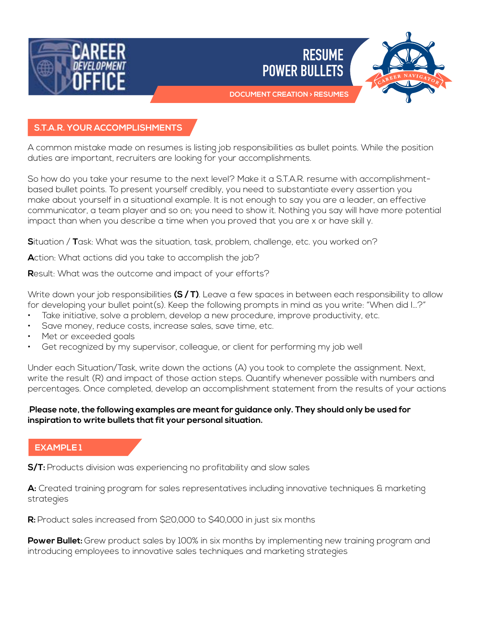



## **S.T.A.R. YOUR ACCOMPLISHMENTS**

A common mistake made on resumes is listing job responsibilities as bullet points. While the position duties are important, recruiters are looking for your accomplishments.

So how do you take your resume to the next level? Make it a S.T.A.R. resume with accomplishmentbased bullet points. To present yourself credibly, you need to substantiate every assertion you make about yourself in a situational example. It is not enough to say you are a leader, an effective communicator, a team player and so on; you need to show it. Nothing you say will have more potential impact than when you describe a time when you proved that you are x or have skill y.

**S**ituation / **T**ask: What was the situation, task, problem, challenge, etc. you worked on?

**A**ction: What actions did you take to accomplish the job?

**R**esult: What was the outcome and impact of your efforts?

Write down your job responsibilities **(S / T)**. Leave a few spaces in between each responsibility to allow for developing your bullet point(s). Keep the following prompts in mind as you write: "When did I…?"

- Take initiative, solve a problem, develop a new procedure, improve productivity, etc.
- Save money, reduce costs, increase sales, save time, etc.
- Met or exceeded goals
- Get recognized by my supervisor, colleague, or client for performing my job well

Under each Situation/Task, write down the actions (A) you took to complete the assignment. Next, write the result (R) and impact of those action steps. Quantify whenever possible with numbers and percentages. Once completed, develop an accomplishment statement from the results of your actions

#### .**Please note, the following examples are meant for guidance only. They should only be used for inspiration to write bullets that fit your personal situation.**

# **EXAMPLE 1**

**S/T:** Products division was experiencing no profitability and slow sales

**A:** Created training program for sales representatives including innovative techniques & marketing strategies

**R:** Product sales increased from \$20,000 to \$40,000 in just six months

**Power Bullet:** Grew product sales by 100% in six months by implementing new training program and introducing employees to innovative sales techniques and marketing strategies